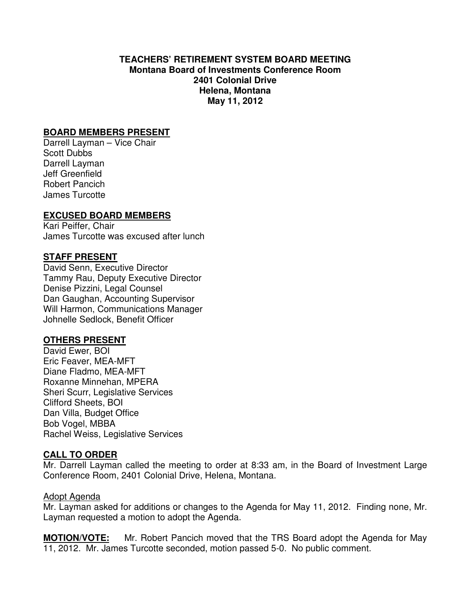## **TEACHERS' RETIREMENT SYSTEM BOARD MEETING Montana Board of Investments Conference Room 2401 Colonial Drive Helena, Montana May 11, 2012**

# **BOARD MEMBERS PRESENT**

Darrell Layman – Vice Chair Scott Dubbs Darrell Layman Jeff Greenfield Robert Pancich James Turcotte

# **EXCUSED BOARD MEMBERS**

Kari Peiffer, Chair James Turcotte was excused after lunch

# **STAFF PRESENT**

David Senn, Executive Director Tammy Rau, Deputy Executive Director Denise Pizzini, Legal Counsel Dan Gaughan, Accounting Supervisor Will Harmon, Communications Manager Johnelle Sedlock, Benefit Officer

## **OTHERS PRESENT**

David Ewer, BOI Eric Feaver, MEA-MFT Diane Fladmo, MEA-MFT Roxanne Minnehan, MPERA Sheri Scurr, Legislative Services Clifford Sheets, BOI Dan Villa, Budget Office Bob Vogel, MBBA Rachel Weiss, Legislative Services

# **CALL TO ORDER**

Mr. Darrell Layman called the meeting to order at 8:33 am, in the Board of Investment Large Conference Room, 2401 Colonial Drive, Helena, Montana.

## Adopt Agenda

Mr. Layman asked for additions or changes to the Agenda for May 11, 2012. Finding none, Mr. Layman requested a motion to adopt the Agenda.

**MOTION/VOTE:** Mr. Robert Pancich moved that the TRS Board adopt the Agenda for May 11, 2012. Mr. James Turcotte seconded, motion passed 5-0. No public comment.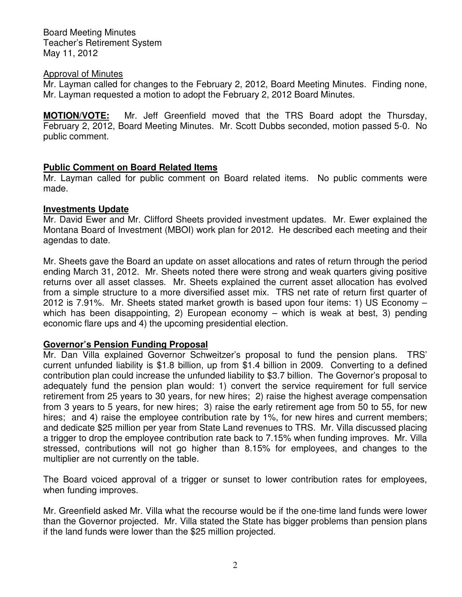#### Approval of Minutes

Mr. Layman called for changes to the February 2, 2012, Board Meeting Minutes. Finding none, Mr. Layman requested a motion to adopt the February 2, 2012 Board Minutes.

**MOTION/VOTE:** Mr. Jeff Greenfield moved that the TRS Board adopt the Thursday, February 2, 2012, Board Meeting Minutes. Mr. Scott Dubbs seconded, motion passed 5-0. No public comment.

# **Public Comment on Board Related Items**

Mr. Layman called for public comment on Board related items. No public comments were made.

## **Investments Update**

Mr. David Ewer and Mr. Clifford Sheets provided investment updates. Mr. Ewer explained the Montana Board of Investment (MBOI) work plan for 2012. He described each meeting and their agendas to date.

Mr. Sheets gave the Board an update on asset allocations and rates of return through the period ending March 31, 2012. Mr. Sheets noted there were strong and weak quarters giving positive returns over all asset classes. Mr. Sheets explained the current asset allocation has evolved from a simple structure to a more diversified asset mix. TRS net rate of return first quarter of 2012 is 7.91%. Mr. Sheets stated market growth is based upon four items: 1) US Economy – which has been disappointing, 2) European economy – which is weak at best, 3) pending economic flare ups and 4) the upcoming presidential election.

# **Governor's Pension Funding Proposal**

Mr. Dan Villa explained Governor Schweitzer's proposal to fund the pension plans. TRS' current unfunded liability is \$1.8 billion, up from \$1.4 billion in 2009. Converting to a defined contribution plan could increase the unfunded liability to \$3.7 billion. The Governor's proposal to adequately fund the pension plan would: 1) convert the service requirement for full service retirement from 25 years to 30 years, for new hires; 2) raise the highest average compensation from 3 years to 5 years, for new hires; 3) raise the early retirement age from 50 to 55, for new hires; and 4) raise the employee contribution rate by 1%, for new hires and current members; and dedicate \$25 million per year from State Land revenues to TRS. Mr. Villa discussed placing a trigger to drop the employee contribution rate back to 7.15% when funding improves. Mr. Villa stressed, contributions will not go higher than 8.15% for employees, and changes to the multiplier are not currently on the table.

The Board voiced approval of a trigger or sunset to lower contribution rates for employees, when funding improves.

Mr. Greenfield asked Mr. Villa what the recourse would be if the one-time land funds were lower than the Governor projected. Mr. Villa stated the State has bigger problems than pension plans if the land funds were lower than the \$25 million projected.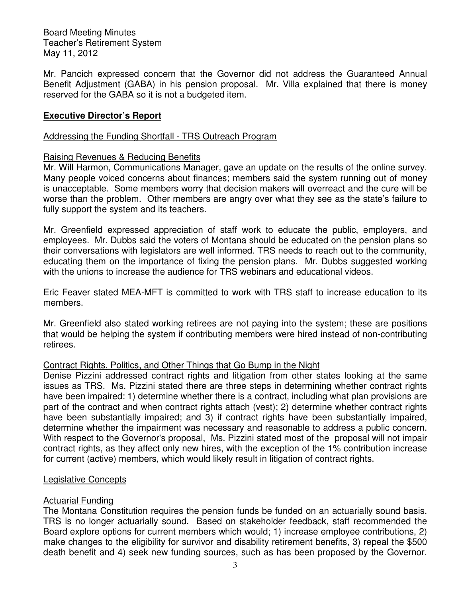Mr. Pancich expressed concern that the Governor did not address the Guaranteed Annual Benefit Adjustment (GABA) in his pension proposal. Mr. Villa explained that there is money reserved for the GABA so it is not a budgeted item.

## **Executive Director's Report**

## Addressing the Funding Shortfall - TRS Outreach Program

#### Raising Revenues & Reducing Benefits

Mr. Will Harmon, Communications Manager, gave an update on the results of the online survey. Many people voiced concerns about finances; members said the system running out of money is unacceptable. Some members worry that decision makers will overreact and the cure will be worse than the problem. Other members are angry over what they see as the state's failure to fully support the system and its teachers.

Mr. Greenfield expressed appreciation of staff work to educate the public, employers, and employees. Mr. Dubbs said the voters of Montana should be educated on the pension plans so their conversations with legislators are well informed. TRS needs to reach out to the community, educating them on the importance of fixing the pension plans. Mr. Dubbs suggested working with the unions to increase the audience for TRS webinars and educational videos.

Eric Feaver stated MEA-MFT is committed to work with TRS staff to increase education to its members.

Mr. Greenfield also stated working retirees are not paying into the system; these are positions that would be helping the system if contributing members were hired instead of non-contributing retirees.

#### Contract Rights, Politics, and Other Things that Go Bump in the Night

Denise Pizzini addressed contract rights and litigation from other states looking at the same issues as TRS. Ms. Pizzini stated there are three steps in determining whether contract rights have been impaired: 1) determine whether there is a contract, including what plan provisions are part of the contract and when contract rights attach (vest); 2) determine whether contract rights have been substantially impaired; and 3) if contract rights have been substantially impaired, determine whether the impairment was necessary and reasonable to address a public concern. With respect to the Governor's proposal, Ms. Pizzini stated most of the proposal will not impair contract rights, as they affect only new hires, with the exception of the 1% contribution increase for current (active) members, which would likely result in litigation of contract rights.

#### Legislative Concepts

## **Actuarial Funding**

The Montana Constitution requires the pension funds be funded on an actuarially sound basis. TRS is no longer actuarially sound. Based on stakeholder feedback, staff recommended the Board explore options for current members which would; 1) increase employee contributions, 2) make changes to the eligibility for survivor and disability retirement benefits, 3) repeal the \$500 death benefit and 4) seek new funding sources, such as has been proposed by the Governor.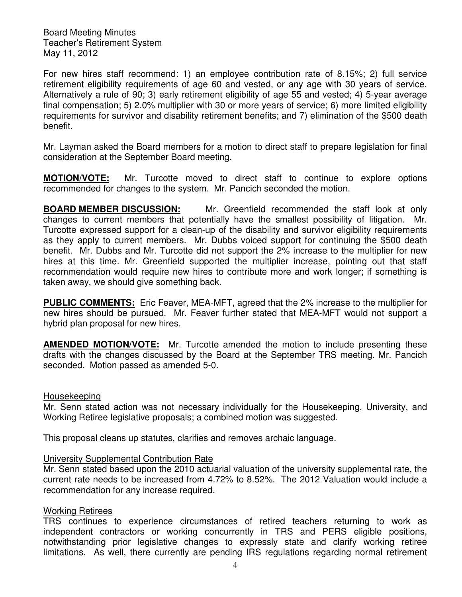For new hires staff recommend: 1) an employee contribution rate of 8.15%; 2) full service retirement eligibility requirements of age 60 and vested, or any age with 30 years of service. Alternatively a rule of 90; 3) early retirement eligibility of age 55 and vested; 4) 5-year average final compensation; 5) 2.0% multiplier with 30 or more years of service; 6) more limited eligibility requirements for survivor and disability retirement benefits; and 7) elimination of the \$500 death benefit.

Mr. Layman asked the Board members for a motion to direct staff to prepare legislation for final consideration at the September Board meeting.

**MOTION/VOTE:** Mr. Turcotte moved to direct staff to continue to explore options recommended for changes to the system. Mr. Pancich seconded the motion.

**BOARD MEMBER DISCUSSION:** Mr. Greenfield recommended the staff look at only changes to current members that potentially have the smallest possibility of litigation. Mr. Turcotte expressed support for a clean-up of the disability and survivor eligibility requirements as they apply to current members. Mr. Dubbs voiced support for continuing the \$500 death benefit. Mr. Dubbs and Mr. Turcotte did not support the 2% increase to the multiplier for new hires at this time. Mr. Greenfield supported the multiplier increase, pointing out that staff recommendation would require new hires to contribute more and work longer; if something is taken away, we should give something back.

**PUBLIC COMMENTS:** Eric Feaver, MEA-MFT, agreed that the 2% increase to the multiplier for new hires should be pursued. Mr. Feaver further stated that MEA-MFT would not support a hybrid plan proposal for new hires.

**AMENDED MOTION/VOTE:** Mr. Turcotte amended the motion to include presenting these drafts with the changes discussed by the Board at the September TRS meeting. Mr. Pancich seconded. Motion passed as amended 5-0.

#### Housekeeping

Mr. Senn stated action was not necessary individually for the Housekeeping, University, and Working Retiree legislative proposals; a combined motion was suggested.

This proposal cleans up statutes, clarifies and removes archaic language.

## University Supplemental Contribution Rate

Mr. Senn stated based upon the 2010 actuarial valuation of the university supplemental rate, the current rate needs to be increased from 4.72% to 8.52%. The 2012 Valuation would include a recommendation for any increase required.

## Working Retirees

TRS continues to experience circumstances of retired teachers returning to work as independent contractors or working concurrently in TRS and PERS eligible positions, notwithstanding prior legislative changes to expressly state and clarify working retiree limitations. As well, there currently are pending IRS regulations regarding normal retirement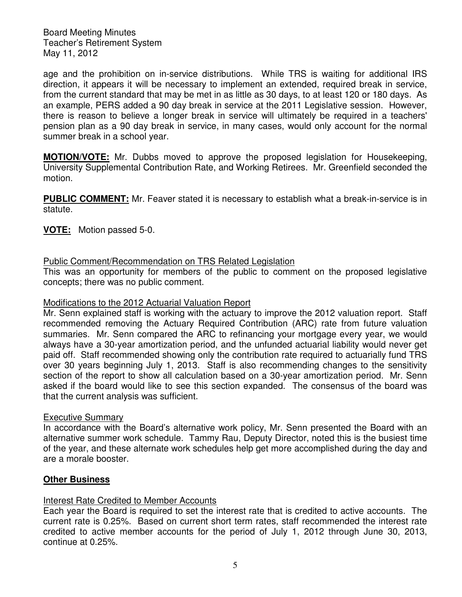age and the prohibition on in-service distributions. While TRS is waiting for additional IRS direction, it appears it will be necessary to implement an extended, required break in service, from the current standard that may be met in as little as 30 days, to at least 120 or 180 days. As an example, PERS added a 90 day break in service at the 2011 Legislative session. However, there is reason to believe a longer break in service will ultimately be required in a teachers' pension plan as a 90 day break in service, in many cases, would only account for the normal summer break in a school year.

**MOTION/VOTE:** Mr. Dubbs moved to approve the proposed legislation for Housekeeping, University Supplemental Contribution Rate, and Working Retirees. Mr. Greenfield seconded the motion.

**PUBLIC COMMENT:** Mr. Feaver stated it is necessary to establish what a break-in-service is in statute.

**VOTE:** Motion passed 5-0.

Public Comment/Recommendation on TRS Related Legislation

This was an opportunity for members of the public to comment on the proposed legislative concepts; there was no public comment.

#### Modifications to the 2012 Actuarial Valuation Report

Mr. Senn explained staff is working with the actuary to improve the 2012 valuation report. Staff recommended removing the Actuary Required Contribution (ARC) rate from future valuation summaries. Mr. Senn compared the ARC to refinancing your mortgage every year, we would always have a 30-year amortization period, and the unfunded actuarial liability would never get paid off. Staff recommended showing only the contribution rate required to actuarially fund TRS over 30 years beginning July 1, 2013. Staff is also recommending changes to the sensitivity section of the report to show all calculation based on a 30-year amortization period. Mr. Senn asked if the board would like to see this section expanded. The consensus of the board was that the current analysis was sufficient.

#### Executive Summary

In accordance with the Board's alternative work policy, Mr. Senn presented the Board with an alternative summer work schedule. Tammy Rau, Deputy Director, noted this is the busiest time of the year, and these alternate work schedules help get more accomplished during the day and are a morale booster.

## **Other Business**

## Interest Rate Credited to Member Accounts

Each year the Board is required to set the interest rate that is credited to active accounts. The current rate is 0.25%. Based on current short term rates, staff recommended the interest rate credited to active member accounts for the period of July 1, 2012 through June 30, 2013, continue at 0.25%.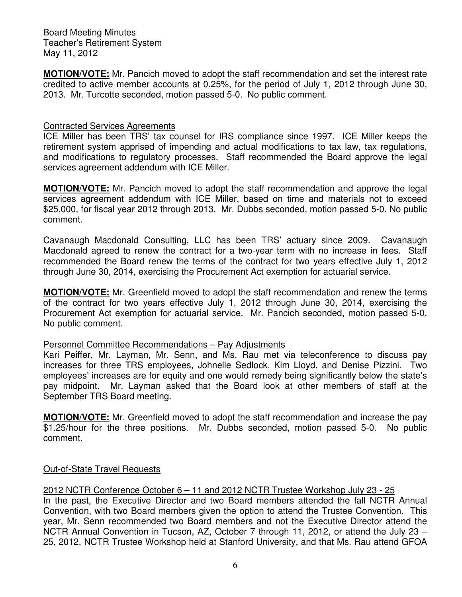**MOTION/VOTE:** Mr. Pancich moved to adopt the staff recommendation and set the interest rate credited to active member accounts at 0.25%, for the period of July 1, 2012 through June 30, 2013. Mr. Turcotte seconded, motion passed 5-0. No public comment.

## Contracted Services Agreements

ICE Miller has been TRS' tax counsel for IRS compliance since 1997. ICE Miller keeps the retirement system apprised of impending and actual modifications to tax law, tax regulations, and modifications to regulatory processes. Staff recommended the Board approve the legal services agreement addendum with ICE Miller.

**MOTION/VOTE:** Mr. Pancich moved to adopt the staff recommendation and approve the legal services agreement addendum with ICE Miller, based on time and materials not to exceed \$25,000, for fiscal year 2012 through 2013. Mr. Dubbs seconded, motion passed 5-0. No public comment.

Cavanaugh Macdonald Consulting, LLC has been TRS' actuary since 2009. Cavanaugh Macdonald agreed to renew the contract for a two-year term with no increase in fees. Staff recommended the Board renew the terms of the contract for two years effective July 1, 2012 through June 30, 2014, exercising the Procurement Act exemption for actuarial service.

**MOTION/VOTE:** Mr. Greenfield moved to adopt the staff recommendation and renew the terms of the contract for two years effective July 1, 2012 through June 30, 2014, exercising the Procurement Act exemption for actuarial service. Mr. Pancich seconded, motion passed 5-0. No public comment.

## Personnel Committee Recommendations – Pay Adjustments

Kari Peiffer, Mr. Layman, Mr. Senn, and Ms. Rau met via teleconference to discuss pay increases for three TRS employees, Johnelle Sedlock, Kim Lloyd, and Denise Pizzini. Two employees' increases are for equity and one would remedy being significantly below the state's pay midpoint. Mr. Layman asked that the Board look at other members of staff at the September TRS Board meeting.

**MOTION/VOTE:** Mr. Greenfield moved to adopt the staff recommendation and increase the pay \$1.25/hour for the three positions. Mr. Dubbs seconded, motion passed 5-0. No public comment.

# Out-of-State Travel Requests

## 2012 NCTR Conference October 6 – 11 and 2012 NCTR Trustee Workshop July 23 - 25

In the past, the Executive Director and two Board members attended the fall NCTR Annual Convention, with two Board members given the option to attend the Trustee Convention. This year, Mr. Senn recommended two Board members and not the Executive Director attend the NCTR Annual Convention in Tucson, AZ, October 7 through 11, 2012, or attend the July 23 – 25, 2012, NCTR Trustee Workshop held at Stanford University, and that Ms. Rau attend GFOA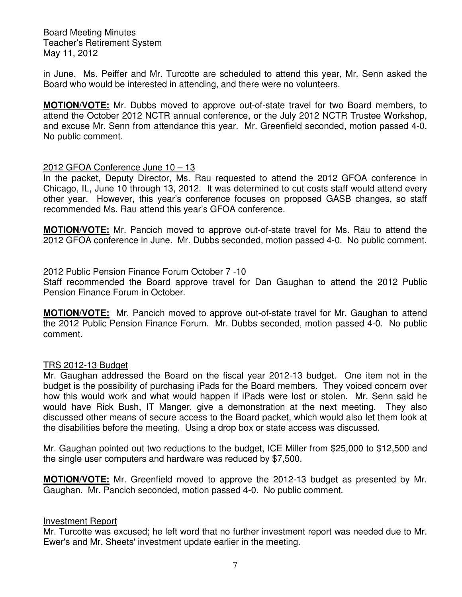in June. Ms. Peiffer and Mr. Turcotte are scheduled to attend this year, Mr. Senn asked the Board who would be interested in attending, and there were no volunteers.

**MOTION/VOTE:** Mr. Dubbs moved to approve out-of-state travel for two Board members, to attend the October 2012 NCTR annual conference, or the July 2012 NCTR Trustee Workshop, and excuse Mr. Senn from attendance this year. Mr. Greenfield seconded, motion passed 4-0. No public comment.

#### 2012 GFOA Conference June 10 – 13

In the packet, Deputy Director, Ms. Rau requested to attend the 2012 GFOA conference in Chicago, IL, June 10 through 13, 2012. It was determined to cut costs staff would attend every other year. However, this year's conference focuses on proposed GASB changes, so staff recommended Ms. Rau attend this year's GFOA conference.

**MOTION/VOTE:** Mr. Pancich moved to approve out-of-state travel for Ms. Rau to attend the 2012 GFOA conference in June. Mr. Dubbs seconded, motion passed 4-0. No public comment.

#### 2012 Public Pension Finance Forum October 7 -10

Staff recommended the Board approve travel for Dan Gaughan to attend the 2012 Public Pension Finance Forum in October.

**MOTION/VOTE:** Mr. Pancich moved to approve out-of-state travel for Mr. Gaughan to attend the 2012 Public Pension Finance Forum. Mr. Dubbs seconded, motion passed 4-0. No public comment.

#### TRS 2012-13 Budget

Mr. Gaughan addressed the Board on the fiscal year 2012-13 budget. One item not in the budget is the possibility of purchasing iPads for the Board members. They voiced concern over how this would work and what would happen if iPads were lost or stolen. Mr. Senn said he would have Rick Bush, IT Manger, give a demonstration at the next meeting. They also discussed other means of secure access to the Board packet, which would also let them look at the disabilities before the meeting. Using a drop box or state access was discussed.

Mr. Gaughan pointed out two reductions to the budget, ICE Miller from \$25,000 to \$12,500 and the single user computers and hardware was reduced by \$7,500.

**MOTION/VOTE:** Mr. Greenfield moved to approve the 2012-13 budget as presented by Mr. Gaughan. Mr. Pancich seconded, motion passed 4-0. No public comment.

#### Investment Report

Mr. Turcotte was excused; he left word that no further investment report was needed due to Mr. Ewer's and Mr. Sheets' investment update earlier in the meeting.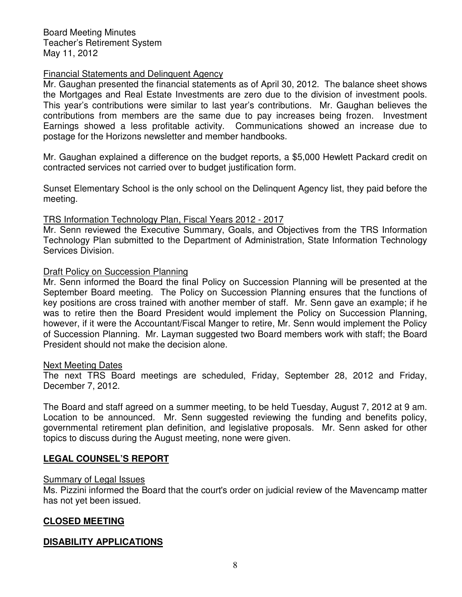#### Financial Statements and Delinquent Agency

Mr. Gaughan presented the financial statements as of April 30, 2012. The balance sheet shows the Mortgages and Real Estate Investments are zero due to the division of investment pools. This year's contributions were similar to last year's contributions. Mr. Gaughan believes the contributions from members are the same due to pay increases being frozen. Investment Earnings showed a less profitable activity. Communications showed an increase due to postage for the Horizons newsletter and member handbooks.

Mr. Gaughan explained a difference on the budget reports, a \$5,000 Hewlett Packard credit on contracted services not carried over to budget justification form.

Sunset Elementary School is the only school on the Delinquent Agency list, they paid before the meeting.

#### TRS Information Technology Plan, Fiscal Years 2012 - 2017

Mr. Senn reviewed the Executive Summary, Goals, and Objectives from the TRS Information Technology Plan submitted to the Department of Administration, State Information Technology Services Division.

#### Draft Policy on Succession Planning

Mr. Senn informed the Board the final Policy on Succession Planning will be presented at the September Board meeting. The Policy on Succession Planning ensures that the functions of key positions are cross trained with another member of staff. Mr. Senn gave an example; if he was to retire then the Board President would implement the Policy on Succession Planning, however, if it were the Accountant/Fiscal Manger to retire, Mr. Senn would implement the Policy of Succession Planning. Mr. Layman suggested two Board members work with staff; the Board President should not make the decision alone.

#### Next Meeting Dates

The next TRS Board meetings are scheduled, Friday, September 28, 2012 and Friday, December 7, 2012.

The Board and staff agreed on a summer meeting, to be held Tuesday, August 7, 2012 at 9 am. Location to be announced. Mr. Senn suggested reviewing the funding and benefits policy, governmental retirement plan definition, and legislative proposals. Mr. Senn asked for other topics to discuss during the August meeting, none were given.

## **LEGAL COUNSEL'S REPORT**

#### Summary of Legal Issues

Ms. Pizzini informed the Board that the court's order on judicial review of the Mavencamp matter has not yet been issued.

## **CLOSED MEETING**

## **DISABILITY APPLICATIONS**